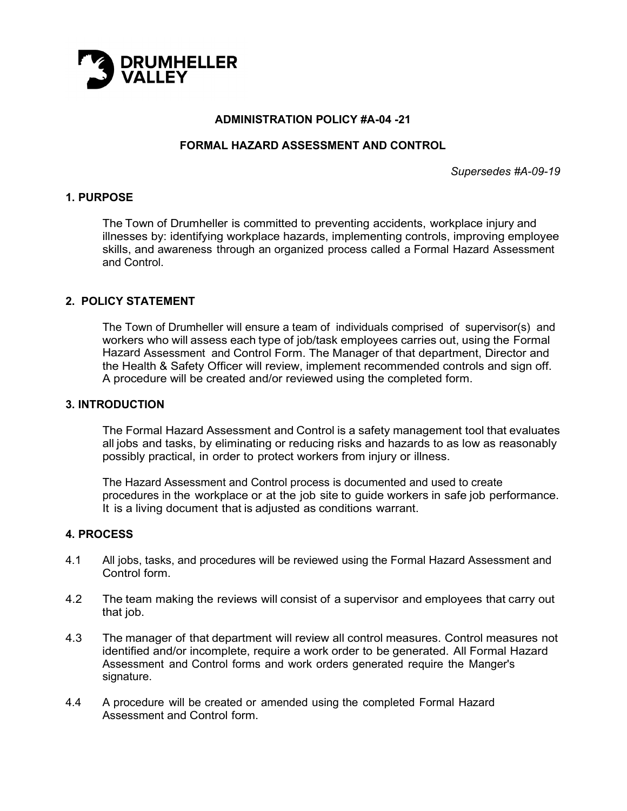

#### **ADMINISTRATION POLICY #A-04 -21**

#### **FORMAL HAZARD ASSESSMENT AND CONTROL**

*Supersedes #A-09-19*

#### **1. PURPOSE**

The Town of Drumheller is committed to preventing accidents, workplace injury and illnesses by: identifying workplace hazards, implementing controls, improving employee skills, and awareness through an organized process called a Formal Hazard Assessment and Control.

#### **2. POLICY STATEMENT**

The Town of Drumheller will ensure a team of individuals comprised of supervisor(s) and workers who will assess each type of job/task employees carries out, using the Formal Hazard Assessment and Control Form. The Manager of that department, Director and the Health & Safety Officer will review, implement recommended controls and sign off. A procedure will be created and/or reviewed using the completed form.

#### **3. INTRODUCTION**

The Formal Hazard Assessment and Control is a safety management tool that evaluates all jobs and tasks, by eliminating or reducing risks and hazards to as low as reasonably possibly practical, in order to protect workers from injury or illness.

The Hazard Assessment and Control process is documented and used to create procedures in the workplace or at the job site to guide workers in safe job performance. It is a living document that is adjusted as conditions warrant.

#### **4. PROCESS**

- 4.1 All jobs, tasks, and procedures will be reviewed using the Formal Hazard Assessment and Control form.
- 4.2 The team making the reviews will consist of a supervisor and employees that carry out that job.
- 4.3 The manager of that department will review all control measures. Control measures not identified and/or incomplete, require a work order to be generated. All Formal Hazard Assessment and Control forms and work orders generated require the Manger's signature.
- 4.4 A procedure will be created or amended using the completed Formal Hazard Assessment and Control form.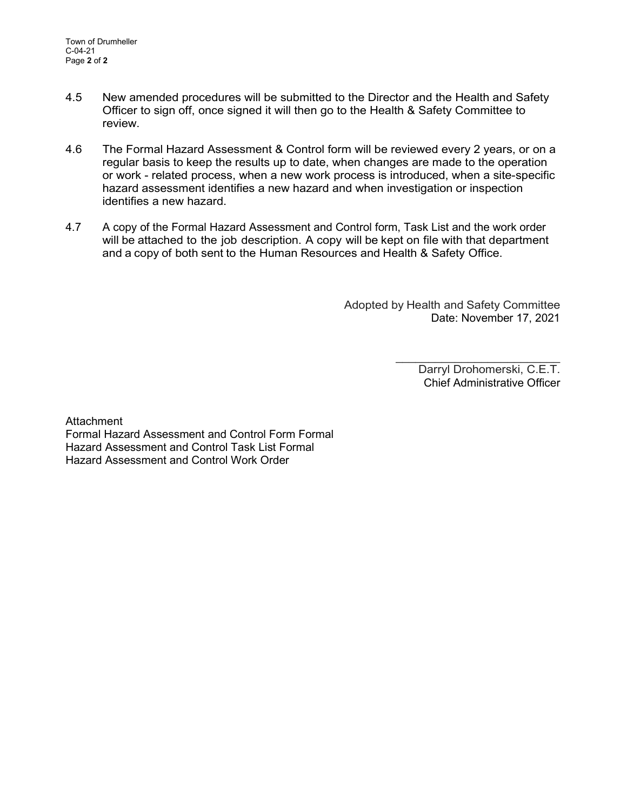- 4.5 New amended procedures will be submitted to the Director and the Health and Safety Officer to sign off, once signed it will then go to the Health & Safety Committee to review.
- 4.6 The Formal Hazard Assessment & Control form will be reviewed every 2 years, or on a regular basis to keep the results up to date, when changes are made to the operation or work - related process, when a new work process is introduced, when a site-specific hazard assessment identifies a new hazard and when investigation or inspection identifies a new hazard.
- 4.7 A copy of the Formal Hazard Assessment and Control form, Task List and the work order will be attached to the job description. A copy will be kept on file with that department and a copy of both sent to the Human Resources and Health & Safety Office.

Adopted by Health and Safety Committee Date: November 17, 2021

> $\overline{\phantom{a}}$  , where  $\overline{\phantom{a}}$  , where  $\overline{\phantom{a}}$  , where  $\overline{\phantom{a}}$  , where  $\overline{\phantom{a}}$ Darryl Drohomerski, C.E.T. Chief Administrative Officer

Attachment Formal Hazard Assessment and Control Form Formal Hazard Assessment and Control Task List Formal Hazard Assessment and Control Work Order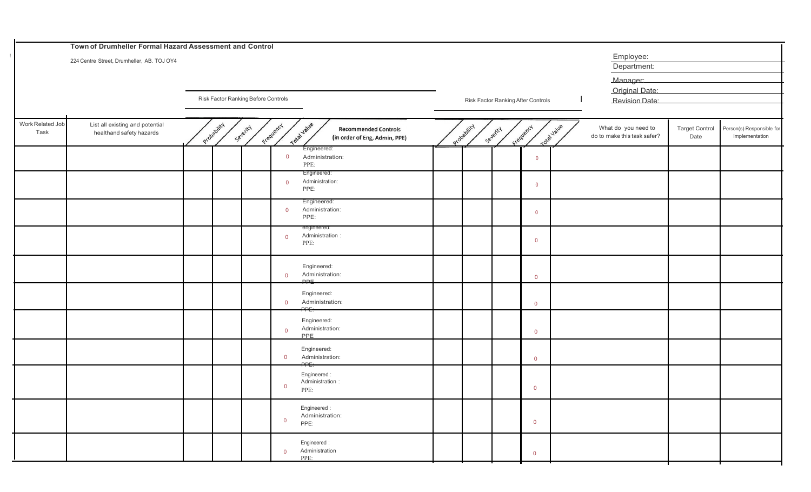|                          | Town of Drumheller Formal Hazard Assessment and Control     |             |                                     |                |                                                                             |             |          |                                    |                                                    |                               |                                             |
|--------------------------|-------------------------------------------------------------|-------------|-------------------------------------|----------------|-----------------------------------------------------------------------------|-------------|----------|------------------------------------|----------------------------------------------------|-------------------------------|---------------------------------------------|
|                          | 224 Centre Street, Drumheller, AB. TOJ OY4                  |             |                                     |                |                                                                             |             |          |                                    | Employee:<br>Department:                           |                               |                                             |
|                          |                                                             |             |                                     |                |                                                                             |             |          |                                    | Manager:                                           |                               |                                             |
|                          |                                                             |             |                                     |                |                                                                             |             |          |                                    | Original Date:                                     |                               |                                             |
|                          |                                                             |             | Risk Factor Ranking Before Controls |                |                                                                             |             |          | Risk Factor Ranking After Controls | Revision Date:                                     |                               |                                             |
| Work Related Job<br>Task | List all existing and potential<br>healthand safety hazards | Probability | Severity                            | Frequency      | Total Value<br><b>Recommended Controls</b><br>(in order of Eng, Admin, PPE) | Probability | Severity | Total value<br>Frequency           | What do you need to<br>do to make this task safer? | <b>Target Control</b><br>Date | Person(s) Responsible for<br>Implementation |
|                          |                                                             |             |                                     | $\overline{0}$ | Engineered:<br>Administration:<br>PPE:                                      |             |          | $\overline{0}$                     |                                                    |                               |                                             |
|                          |                                                             |             |                                     | $\overline{0}$ | Engineered:<br>Administration:<br>PPE:                                      |             |          | $\overline{0}$                     |                                                    |                               |                                             |
|                          |                                                             |             |                                     | $\overline{0}$ | Engineered:<br>Administration:<br>PPE:                                      |             |          | $\overline{0}$                     |                                                    |                               |                                             |
|                          |                                                             |             |                                     | $\Omega$       | engineered:<br>Administration:<br>PPE:                                      |             |          | $\mathbf 0$                        |                                                    |                               |                                             |
|                          |                                                             |             |                                     | $\overline{0}$ | Engineered:<br>Administration:<br>DDE.                                      |             |          | $\overline{0}$                     |                                                    |                               |                                             |
|                          |                                                             |             |                                     | $\overline{0}$ | Engineered:<br>Administration:<br>$\overline{p}$                            |             |          | $\overline{0}$                     |                                                    |                               |                                             |
|                          |                                                             |             |                                     | $\Omega$       | Engineered:<br>Administration:<br>PPE                                       |             |          | $\overline{0}$                     |                                                    |                               |                                             |
|                          |                                                             |             |                                     | $\overline{0}$ | Engineered:<br>Administration:<br>PPT                                       |             |          | $\overline{0}$                     |                                                    |                               |                                             |
|                          |                                                             |             |                                     | $\mathbf{0}$   | Engineered:<br>Administration<br>PPE:                                       |             |          | $\overline{0}$                     |                                                    |                               |                                             |
|                          |                                                             |             |                                     | $\overline{0}$ | Engineered:<br>Administration:<br>PPE:                                      |             |          | $\overline{0}$                     |                                                    |                               |                                             |
|                          |                                                             |             |                                     | $\overline{0}$ | Engineered:<br>Administration<br>PPE:                                       |             |          | $\overline{0}$                     |                                                    |                               |                                             |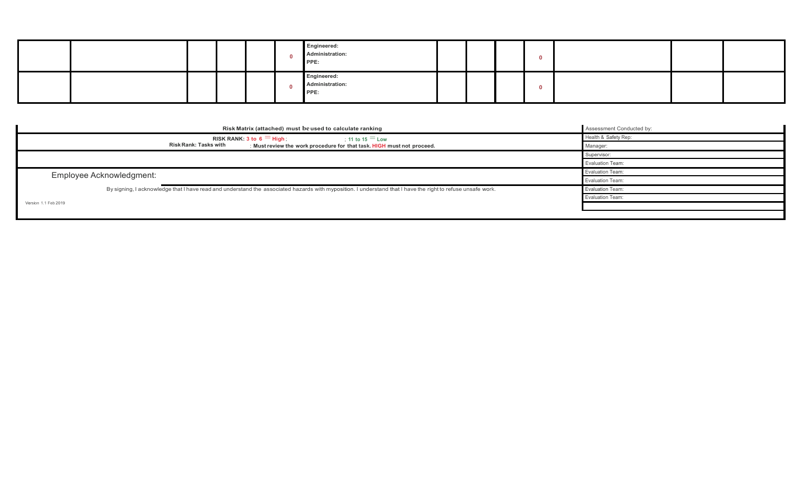|  |  |  | Engineered:<br>Administration:<br>PPE: |  |  |  |  |
|--|--|--|----------------------------------------|--|--|--|--|
|  |  |  | Engineered:<br>Administration:<br>PPE: |  |  |  |  |

| Risk Matrix (attached) must be used to calculate ranking                                                                                                    | Assessment Conducted by: |  |  |
|-------------------------------------------------------------------------------------------------------------------------------------------------------------|--------------------------|--|--|
| RISK RANK: 3 to 6 $=$ High;<br>: 11 to 15 $=$ Low                                                                                                           | Health & Safety Rep:     |  |  |
| Risk Rank: Tasks with<br>: Must review the work procedure for that task. HIGH must not proceed.                                                             | Manager:                 |  |  |
|                                                                                                                                                             | Supervisor:              |  |  |
|                                                                                                                                                             | <b>Evaluation Team:</b>  |  |  |
| Employee Acknowledgment:                                                                                                                                    | <b>Evaluation Team:</b>  |  |  |
|                                                                                                                                                             | Evaluation Team:         |  |  |
| By signing, I acknowledge that I have read and understand the associated hazards with myposition. I understand that I have the right to refuse unsafe work. | Evaluation Team:         |  |  |
|                                                                                                                                                             | <b>Evaluation Team:</b>  |  |  |
| Version 1.1 Feb 2019                                                                                                                                        |                          |  |  |
|                                                                                                                                                             |                          |  |  |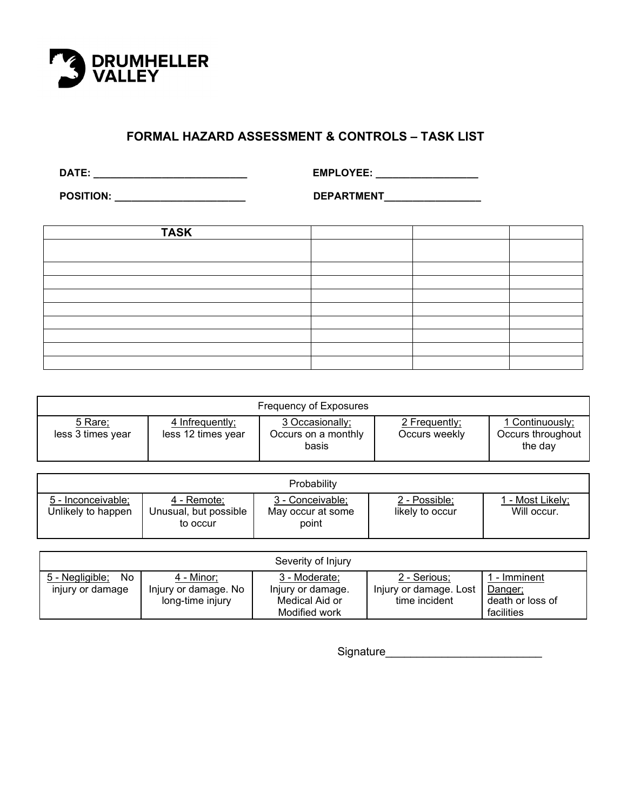

### **FORMAL HAZARD ASSESSMENT & CONTROLS – TASK LIST**

 **DATE: \_\_\_\_\_\_\_\_\_\_\_\_\_\_\_\_\_\_\_\_\_\_\_\_\_\_\_ EMPLOYEE: \_\_\_\_\_\_\_\_\_\_\_\_\_\_\_\_\_\_**

 **POSITION: \_\_\_\_\_\_\_\_\_\_\_\_\_\_\_\_\_\_\_\_\_\_\_ DEPARTMENT\_\_\_\_\_\_\_\_\_\_\_\_\_\_\_\_\_**

| <b>TASK</b> |  |  |
|-------------|--|--|
|             |  |  |
|             |  |  |
|             |  |  |
|             |  |  |
|             |  |  |
|             |  |  |
|             |  |  |
|             |  |  |
|             |  |  |

| Frequency of Exposures       |                                       |                                                 |                                |                                                 |  |  |
|------------------------------|---------------------------------------|-------------------------------------------------|--------------------------------|-------------------------------------------------|--|--|
| 5 Rare;<br>less 3 times year | 4 Infrequently;<br>less 12 times year | 3 Occasionally;<br>Occurs on a monthly<br>basis | 2 Frequently;<br>Occurs weekly | 1 Continuously;<br>Occurs throughout<br>the day |  |  |

|                                          |                                                  | Probability                                    |                                  |                                 |
|------------------------------------------|--------------------------------------------------|------------------------------------------------|----------------------------------|---------------------------------|
| 5 - Inconceivable:<br>Unlikely to happen | 4 - Remote:<br>Unusual, but possible<br>to occur | 3 - Conceivable;<br>May occur at some<br>point | 2 - Possible;<br>likely to occur | I - Most Likely;<br>Will occur. |

|                                            |                                                        | Severity of Injury                                                    |                                                         |                                                         |
|--------------------------------------------|--------------------------------------------------------|-----------------------------------------------------------------------|---------------------------------------------------------|---------------------------------------------------------|
| 5 - Negligible;<br>No.<br>injury or damage | 4 - Minor;<br>Injury or damage. No<br>long-time injury | 3 - Moderate;<br>Injury or damage.<br>Medical Aid or<br>Modified work | 2 - Serious;<br>Injury or damage. Lost<br>time incident | - Imminent<br>Danger;<br>death or loss of<br>facilities |

Signature\_\_\_\_\_\_\_\_\_\_\_\_\_\_\_\_\_\_\_\_\_\_\_\_\_